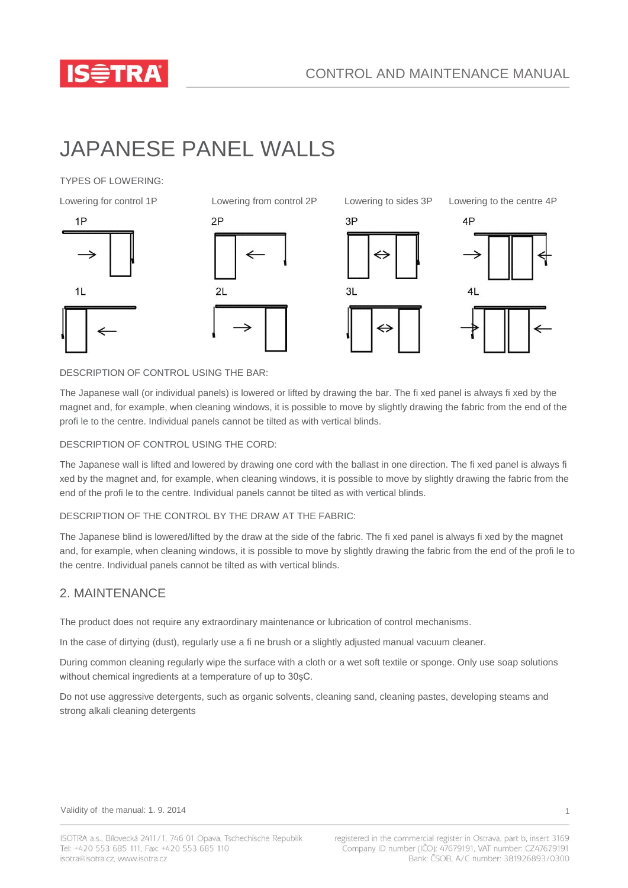

# JAPANESE PANEL WALLS

## TYPES OF LOWERING:



 $2P$  $21$ 



## DESCRIPTION OF CONTROL USING THE BAR:

The Japanese wall (or individual panels) is lowered or lifted by drawing the bar. The fi xed panel is always fi xed by the magnet and, for example, when cleaning windows, it is possible to move by slightly drawing the fabric from the end of the profi le to the centre. Individual panels cannot be tilted as with vertical blinds.

## DESCRIPTION OF CONTROL USING THE CORD:

The Japanese wall is lifted and lowered by drawing one cord with the ballast in one direction. The fi xed panel is always fi xed by the magnet and, for example, when cleaning windows, it is possible to move by slightly drawing the fabric from the end of the profi le to the centre. Individual panels cannot be tilted as with vertical blinds.

#### DESCRIPTION OF THE CONTROL BY THE DRAW AT THE FABRIC:

The Japanese blind is lowered/lifted by the draw at the side of the fabric. The fi xed panel is always fi xed by the magnet and, for example, when cleaning windows, it is possible to move by slightly drawing the fabric from the end of the profi le to the centre. Individual panels cannot be tilted as with vertical blinds.

## 2. MAINTENANCE

The product does not require any extraordinary maintenance or lubrication of control mechanisms.

In the case of dirtying (dust), regularly use a fi ne brush or a slightly adjusted manual vacuum cleaner.

During common cleaning regularly wipe the surface with a cloth or a wet soft textile or sponge. Only use soap solutions without chemical ingredients at a temperature of up to 30şC.

Do not use aggressive detergents, such as organic solvents, cleaning sand, cleaning pastes, developing steams and strong alkali cleaning detergents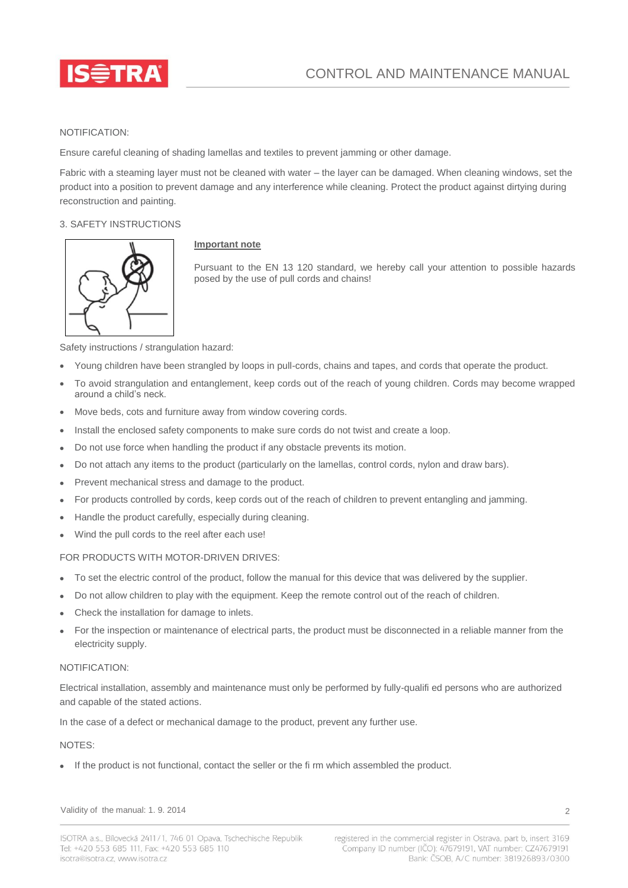

## NOTIFICATION:

Ensure careful cleaning of shading lamellas and textiles to prevent jamming or other damage.

Fabric with a steaming layer must not be cleaned with water – the layer can be damaged. When cleaning windows, set the product into a position to prevent damage and any interference while cleaning. Protect the product against dirtying during reconstruction and painting.

## 3. SAFETY INSTRUCTIONS



#### **Important note**

Pursuant to the EN 13 120 standard, we hereby call your attention to possible hazards posed by the use of pull cords and chains!

Safety instructions / strangulation hazard:

- Young children have been strangled by loops in pull-cords, chains and tapes, and cords that operate the product.
- To avoid strangulation and entanglement, keep cords out of the reach of young children. Cords may become wrapped around a child's neck.
- Move beds, cots and furniture away from window covering cords.
- Install the enclosed safety components to make sure cords do not twist and create a loop.
- Do not use force when handling the product if any obstacle prevents its motion.
- Do not attach any items to the product (particularly on the lamellas, control cords, nylon and draw bars).
- Prevent mechanical stress and damage to the product.
- For products controlled by cords, keep cords out of the reach of children to prevent entangling and jamming.
- Handle the product carefully, especially during cleaning.
- Wind the pull cords to the reel after each use!

#### FOR PRODUCTS WITH MOTOR-DRIVEN DRIVES:

- To set the electric control of the product, follow the manual for this device that was delivered by the supplier.
- Do not allow children to play with the equipment. Keep the remote control out of the reach of children.
- Check the installation for damage to inlets.
- For the inspection or maintenance of electrical parts, the product must be disconnected in a reliable manner from the electricity supply.

#### NOTIFICATION:

Electrical installation, assembly and maintenance must only be performed by fully-qualifi ed persons who are authorized and capable of the stated actions.

In the case of a defect or mechanical damage to the product, prevent any further use.

#### NOTES:

If the product is not functional, contact the seller or the fi rm which assembled the product.